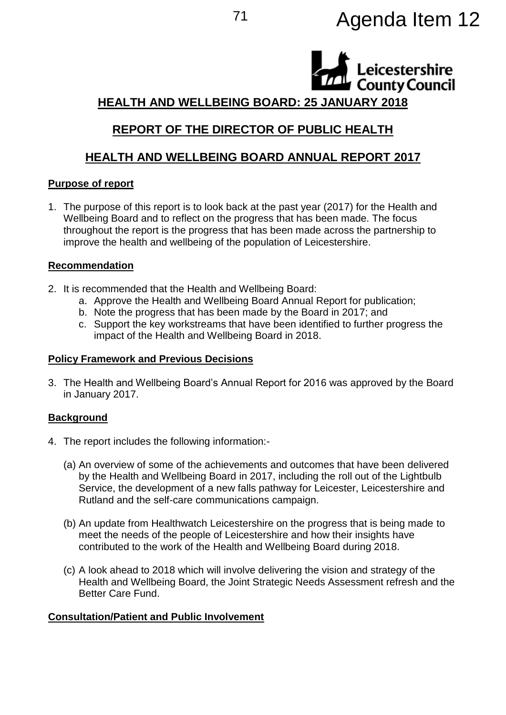# <sup>71</sup> Agenda Item 12

Leicestershire **County Council** 

## **HEALTH AND WELLBEING BOARD: 25 JANUARY 2018**

# **REPORT OF THE DIRECTOR OF PUBLIC HEALTH**

# **HEALTH AND WELLBEING BOARD ANNUAL REPORT 2017**

#### **Purpose of report**

1. The purpose of this report is to look back at the past year (2017) for the Health and Wellbeing Board and to reflect on the progress that has been made. The focus throughout the report is the progress that has been made across the partnership to improve the health and wellbeing of the population of Leicestershire.

#### **Recommendation**

- 2. It is recommended that the Health and Wellbeing Board:
	- a. Approve the Health and Wellbeing Board Annual Report for publication;
	- b. Note the progress that has been made by the Board in 2017; and
	- c. Support the key workstreams that have been identified to further progress the impact of the Health and Wellbeing Board in 2018.

#### **Policy Framework and Previous Decisions**

3. The Health and Wellbeing Board's Annual Report for 2016 was approved by the Board in January 2017.

## **Background**

- 4. The report includes the following information:-
	- (a) An overview of some of the achievements and outcomes that have been delivered by the Health and Wellbeing Board in 2017, including the roll out of the Lightbulb Service, the development of a new falls pathway for Leicester, Leicestershire and Rutland and the self-care communications campaign.
	- (b) An update from Healthwatch Leicestershire on the progress that is being made to meet the needs of the people of Leicestershire and how their insights have contributed to the work of the Health and Wellbeing Board during 2018.
	- (c) A look ahead to 2018 which will involve delivering the vision and strategy of the Health and Wellbeing Board, the Joint Strategic Needs Assessment refresh and the Better Care Fund.

## **Consultation/Patient and Public Involvement**